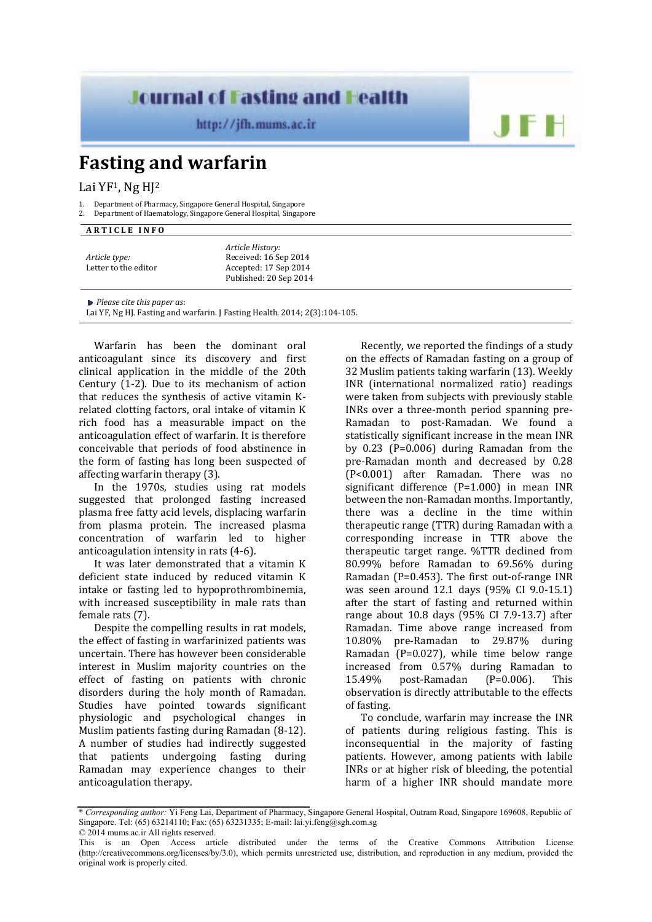## **Journal of Fasting and Health**

http://jfh.mums.ac.ir

## **Fasting and warfarin**

Lai YF<sup>1</sup>, Ng H<sub>J</sub><sup>2</sup>

- 1. Department of Pharmacy, Singapore General Hospital, Singapore
- 2. Department of Haematology, Singapore General Hospital, Singapore

## **A R T I C L E I N F O**

|                      | Article History:       |
|----------------------|------------------------|
| Article type:        | Received: 16 Sep 2014  |
| Letter to the editor | Accepted: 17 Sep 2014  |
|                      | Published: 20 Sep 2014 |

*Please cite this paper as*:

Lai YF, Ng HJ. Fasting and warfarin. J Fasting Health. 2014; 2(3):104-105.

Warfarin has been the dominant oral anticoagulant since its discovery and first clinical application in the middle of the 20th Century (1-2). Due to its mechanism of action that reduces the synthesis of active vitamin Krelated clotting factors, oral intake of vitamin K rich food has a measurable impact on the anticoagulation effect of warfarin. It is therefore conceivable that periods of food abstinence in the form of fasting has long been suspected of affecting warfarin therapy (3).

In the 1970s, studies using rat models suggested that prolonged fasting increased plasma free fatty acid levels, displacing warfarin from plasma protein. The increased plasma concentration of warfarin led to higher anticoagulation intensity in rats (4-6).

It was later demonstrated that a vitamin K deficient state induced by reduced vitamin K intake or fasting led to hypoprothrombinemia, with increased susceptibility in male rats than female rats (7).

Despite the compelling results in rat models, the effect of fasting in warfarinized patients was uncertain. There has however been considerable interest in Muslim majority countries on the effect of fasting on patients with chronic disorders during the holy month of Ramadan. Studies have pointed towards significant physiologic and psychological changes in Muslim patients fasting during Ramadan (8-12). A number of studies had indirectly suggested that patients undergoing fasting during Ramadan may experience changes to their anticoagulation therapy.

Recently, we reported the findings of a study on the effects of Ramadan fasting on a group of 32 Muslim patients taking warfarin (13). Weekly INR (international normalized ratio) readings were taken from subjects with previously stable INRs over a three-month period spanning pre-Ramadan to post-Ramadan. We found a statistically significant increase in the mean INR by 0.23 (P=0.006) during Ramadan from the pre-Ramadan month and decreased by 0.28 (P<0.001) after Ramadan. There was no significant difference (P=1.000) in mean INR between the non-Ramadan months. Importantly, there was a decline in the time within therapeutic range (TTR) during Ramadan with a corresponding increase in TTR above the therapeutic target range. %TTR declined from 80.99% before Ramadan to 69.56% during Ramadan (P=0.453). The first out-of-range INR was seen around 12.1 days (95% CI 9.0-15.1) after the start of fasting and returned within range about 10.8 days (95% CI 7.9-13.7) after Ramadan. Time above range increased from 10.80% pre-Ramadan to 29.87% during Ramadan (P=0.027), while time below range increased from 0.57% during Ramadan to 15.49% post-Ramadan (P=0.006). This observation is directly attributable to the effects of fasting.

JF F

To conclude, warfarin may increase the INR of patients during religious fasting. This is inconsequential in the majority of fasting patients. However, among patients with labile INRs or at higher risk of bleeding, the potential harm of a higher INR should mandate more

<sup>\*</sup> *Corresponding author:* Yi Feng Lai, Department of Pharmacy, Singapore General Hospital, Outram Road, Singapore 169608, Republic of Singapore. Tel: (65) 63214110; Fax: (65) 63231335; E-mail: lai.yi.feng@sgh.com.sg © 2014 mums.ac.ir All rights reserved.

This is an Open Access article distributed under the terms of the Creative Commons Attribution License (http://creativecommons.org/licenses/by/3.0), which permits unrestricted use, distribution, and reproduction in any medium, provided the original work is properly cited.